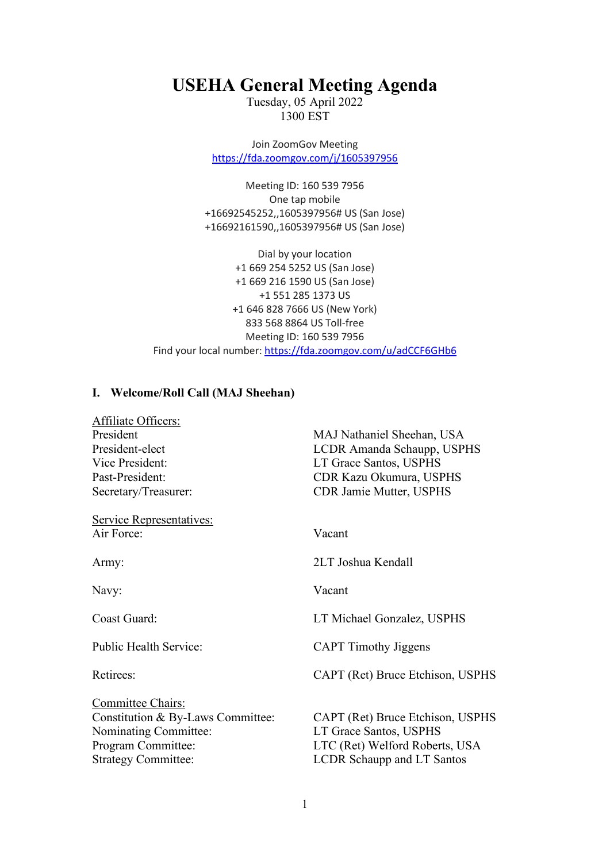# **USEHA General Meeting Agenda**

Tuesday, 05 April 2022 1300 EST

Join ZoomGov Meeting <https://fda.zoomgov.com/j/1605397956>

Meeting ID: 160 539 7956 One tap mobile +16692545252,,1605397956# US (San Jose) +16692161590,,1605397956# US (San Jose)

Dial by your location +1 669 254 5252 US (San Jose) +1 669 216 1590 US (San Jose) +1 551 285 1373 US +1 646 828 7666 US (New York) 833 568 8864 US Toll-free Meeting ID: 160 539 7956 Find your local number: <https://fda.zoomgov.com/u/adCCF6GHb6>

# **I. Welcome/Roll Call (MAJ Sheehan)**

| Affiliate Officers:                                                                                                                 |                                                                                                                            |
|-------------------------------------------------------------------------------------------------------------------------------------|----------------------------------------------------------------------------------------------------------------------------|
| President                                                                                                                           | MAJ Nathaniel Sheehan, USA                                                                                                 |
| President-elect                                                                                                                     | LCDR Amanda Schaupp, USPHS                                                                                                 |
| Vice President:                                                                                                                     | LT Grace Santos, USPHS                                                                                                     |
| Past-President:                                                                                                                     | CDR Kazu Okumura, USPHS                                                                                                    |
| Secretary/Treasurer:                                                                                                                | <b>CDR Jamie Mutter, USPHS</b>                                                                                             |
| <b>Service Representatives:</b>                                                                                                     |                                                                                                                            |
| Air Force:                                                                                                                          | Vacant                                                                                                                     |
| Army:                                                                                                                               | 2LT Joshua Kendall                                                                                                         |
| Navy:                                                                                                                               | Vacant                                                                                                                     |
| Coast Guard:                                                                                                                        | LT Michael Gonzalez, USPHS                                                                                                 |
| Public Health Service:                                                                                                              | <b>CAPT</b> Timothy Jiggens                                                                                                |
| Retirees:                                                                                                                           | CAPT (Ret) Bruce Etchison, USPHS                                                                                           |
| Committee Chairs:<br>Constitution & By-Laws Committee:<br>Nominating Committee:<br>Program Committee:<br><b>Strategy Committee:</b> | CAPT (Ret) Bruce Etchison, USPHS<br>LT Grace Santos, USPHS<br>LTC (Ret) Welford Roberts, USA<br>LCDR Schaupp and LT Santos |